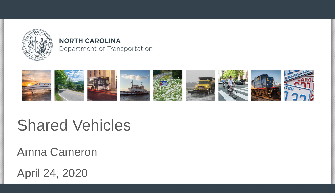

#### **NORTH CAROLINA** Department of Transportation



# Shared Vehicles

Amna Cameron

April 24, 2020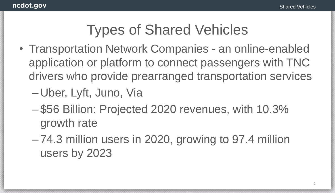### Types of Shared Vehicles

- Transportation Network Companies an online-enabled application or platform to connect passengers with TNC drivers who provide prearranged transportation services
	- Uber, Lyft, Juno, Via
	- \$56 Billion: Projected 2020 revenues, with 10.3% growth rate
	- 74.3 million users in 2020, growing to 97.4 million users by 2023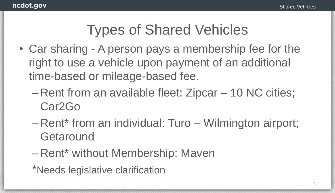#### Types of Shared Vehicles

- Car sharing A person pays a membership fee for the right to use a vehicle upon payment of an additional time-based or mileage-based fee.
	- Rent from an available fleet: Zipcar 10 NC cities; Car2Go
	- Rent\* from an individual: Turo Wilmington airport; **Getaround**
	- Rent\* without Membership: Maven
	- \*Needs legislative clarification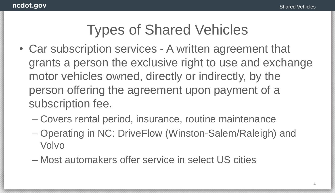#### Types of Shared Vehicles

- Car subscription services A written agreement that grants a person the exclusive right to use and exchange motor vehicles owned, directly or indirectly, by the person offering the agreement upon payment of a subscription fee.
	- Covers rental period, insurance, routine maintenance
	- Operating in NC: DriveFlow (Winston-Salem/Raleigh) and Volvo
	- Most automakers offer service in select US cities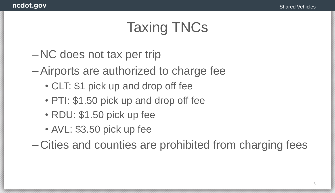## Taxing TNCs

- NC does not tax per trip
- –Airports are authorized to charge fee
	- CLT: \$1 pick up and drop off fee
	- PTI: \$1.50 pick up and drop off fee
	- RDU: \$1.50 pick up fee
	- AVL: \$3.50 pick up fee

– Cities and counties are prohibited from charging fees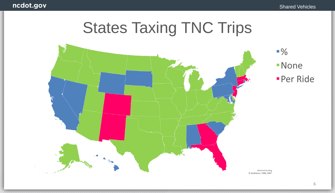# States Taxing TNC Trips

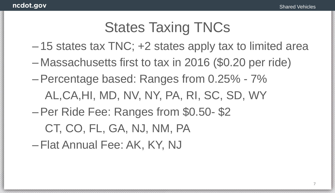#### States Taxing TNCs

- 15 states tax TNC; +2 states apply tax to limited area
- Massachusetts first to tax in 2016 (\$0.20 per ride)
- –Percentage based: Ranges from 0.25% 7% AL,CA,HI, MD, NV, NY, PA, RI, SC, SD, WY
- –Per Ride Fee: Ranges from \$0.50- \$2

CT, CO, FL, GA, NJ, NM, PA

–Flat Annual Fee: AK, KY, NJ